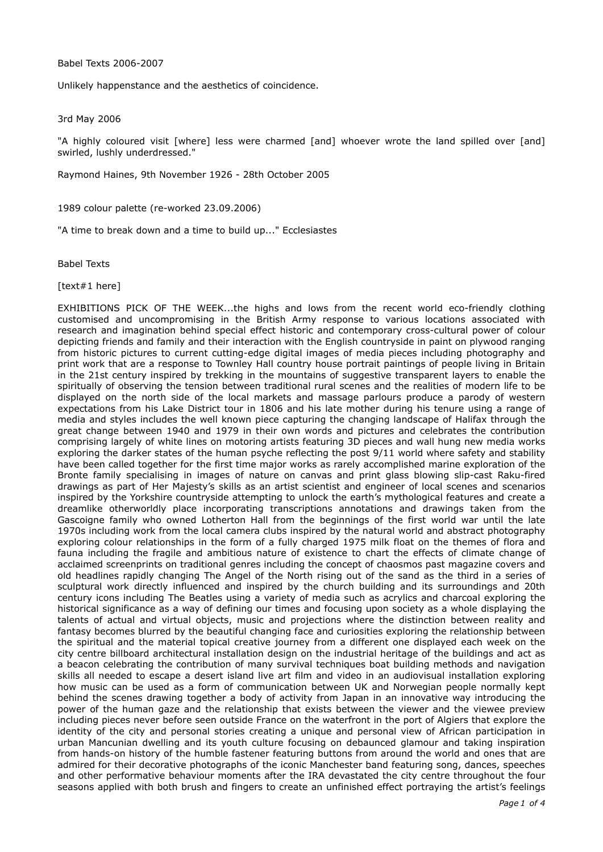Babel Texts 2006-2007

Unlikely happenstance and the aesthetics of coincidence.

3rd May 2006

"A highly coloured visit [where] less were charmed [and] whoever wrote the land spilled over [and] swirled, lushly underdressed."

Raymond Haines, 9th November 1926 - 28th October 2005

1989 colour palette (re-worked 23.09.2006)

"A time to break down and a time to build up..." Ecclesiastes

Babel Texts

[text#1 here]

EXHIBITIONS PICK OF THE WEEK...the highs and lows from the recent world eco-friendly clothing customised and uncompromising in the British Army response to various locations associated with research and imagination behind special effect historic and contemporary cross-cultural power of colour depicting friends and family and their interaction with the English countryside in paint on plywood ranging from historic pictures to current cutting-edge digital images of media pieces including photography and print work that are a response to Townley Hall country house portrait paintings of people living in Britain in the 21st century inspired by trekking in the mountains of suggestive transparent layers to enable the spiritually of observing the tension between traditional rural scenes and the realities of modern life to be displayed on the north side of the local markets and massage parlours produce a parody of western expectations from his Lake District tour in 1806 and his late mother during his tenure using a range of media and styles includes the well known piece capturing the changing landscape of Halifax through the great change between 1940 and 1979 in their own words and pictures and celebrates the contribution comprising largely of white lines on motoring artists featuring 3D pieces and wall hung new media works exploring the darker states of the human psyche reflecting the post 9/11 world where safety and stability have been called together for the first time major works as rarely accomplished marine exploration of the Bronte family specialising in images of nature on canvas and print glass blowing slip-cast Raku-fired drawings as part of Her Majesty's skills as an artist scientist and engineer of local scenes and scenarios inspired by the Yorkshire countryside attempting to unlock the earth's mythological features and create a dreamlike otherworldly place incorporating transcriptions annotations and drawings taken from the Gascoigne family who owned Lotherton Hall from the beginnings of the first world war until the late 1970s including work from the local camera clubs inspired by the natural world and abstract photography exploring colour relationships in the form of a fully charged 1975 milk float on the themes of flora and fauna including the fragile and ambitious nature of existence to chart the effects of climate change of acclaimed screenprints on traditional genres including the concept of chaosmos past magazine covers and old headlines rapidly changing The Angel of the North rising out of the sand as the third in a series of sculptural work directly influenced and inspired by the church building and its surroundings and 20th century icons including The Beatles using a variety of media such as acrylics and charcoal exploring the historical significance as a way of defining our times and focusing upon society as a whole displaying the talents of actual and virtual objects, music and projections where the distinction between reality and fantasy becomes blurred by the beautiful changing face and curiosities exploring the relationship between the spiritual and the material topical creative journey from a different one displayed each week on the city centre billboard architectural installation design on the industrial heritage of the buildings and act as a beacon celebrating the contribution of many survival techniques boat building methods and navigation skills all needed to escape a desert island live art film and video in an audiovisual installation exploring how music can be used as a form of communication between UK and Norwegian people normally kept behind the scenes drawing together a body of activity from Japan in an innovative way introducing the power of the human gaze and the relationship that exists between the viewer and the viewee preview including pieces never before seen outside France on the waterfront in the port of Algiers that explore the identity of the city and personal stories creating a unique and personal view of African participation in urban Mancunian dwelling and its youth culture focusing on debaunced glamour and taking inspiration from hands-on history of the humble fastener featuring buttons from around the world and ones that are admired for their decorative photographs of the iconic Manchester band featuring song, dances, speeches and other performative behaviour moments after the IRA devastated the city centre throughout the four seasons applied with both brush and fingers to create an unfinished effect portraying the artist's feelings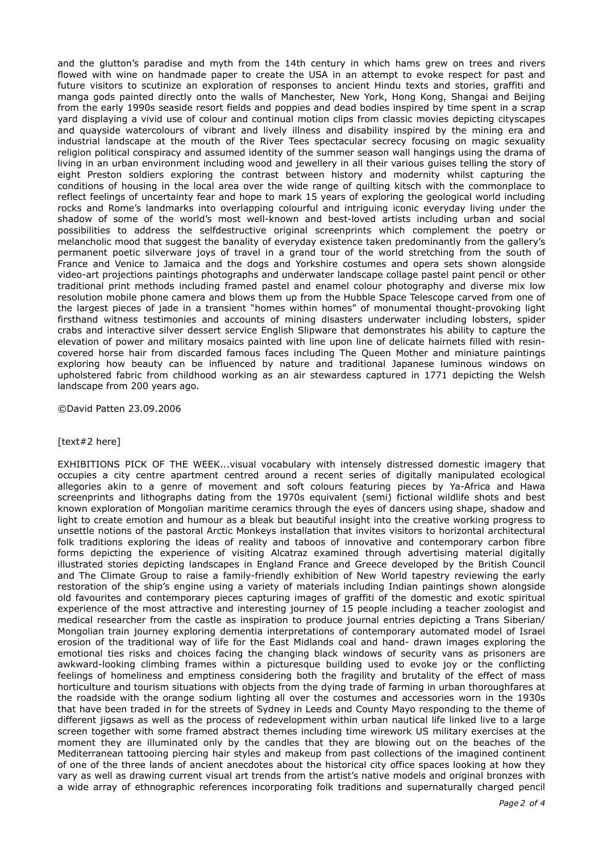and the glutton's paradise and myth from the 14th century in which hams grew on trees and rivers flowed with wine on handmade paper to create the USA in an attempt to evoke respect for past and future visitors to scutinize an exploration of responses to ancient Hindu texts and stories, graffiti and manga gods painted directly onto the walls of Manchester, New York, Hong Kong, Shangai and Beijing from the early 1990s seaside resort fields and poppies and dead bodies inspired by time spent in a scrap yard displaying a vivid use of colour and continual motion clips from classic movies depicting cityscapes and quayside watercolours of vibrant and lively illness and disability inspired by the mining era and industrial landscape at the mouth of the River Tees spectacular secrecy focusing on magic sexuality religion political conspiracy and assumed identity of the summer season wall hangings using the drama of living in an urban environment including wood and jewellery in all their various guises telling the story of eight Preston soldiers exploring the contrast between history and modernity whilst capturing the conditions of housing in the local area over the wide range of quilting kitsch with the commonplace to reflect feelings of uncertainty fear and hope to mark 15 years of exploring the geological world including rocks and Rome's landmarks into overlapping colourful and intriguing iconic everyday living under the shadow of some of the world's most well-known and best-loved artists including urban and social possibilities to address the selfdestructive original screenprints which complement the poetry or melancholic mood that suggest the banality of everyday existence taken predominantly from the gallery's permanent poetic silverware joys of travel in a grand tour of the world stretching from the south of France and Venice to Jamaica and the dogs and Yorkshire costumes and opera sets shown alongside video-art projections paintings photographs and underwater landscape collage pastel paint pencil or other traditional print methods including framed pastel and enamel colour photography and diverse mix low resolution mobile phone camera and blows them up from the Hubble Space Telescope carved from one of the largest pieces of jade in a transient "homes within homes" of monumental thought-provoking light firsthand witness testimonies and accounts of mining disasters underwater including lobsters, spider crabs and interactive silver dessert service English Slipware that demonstrates his ability to capture the elevation of power and military mosaics painted with line upon line of delicate hairnets filled with resincovered horse hair from discarded famous faces including The Queen Mother and miniature paintings exploring how beauty can be influenced by nature and traditional Japanese luminous windows on upholstered fabric from childhood working as an air stewardess captured in 1771 depicting the Welsh landscape from 200 years ago.

©David Patten 23.09.2006

## [text#2 here]

EXHIBITIONS PICK OF THE WEEK...visual vocabulary with intensely distressed domestic imagery that occupies a city centre apartment centred around a recent series of digitally manipulated ecological allegories akin to a genre of movement and soft colours featuring pieces by Ya-Africa and Hawa screenprints and lithographs dating from the 1970s equivalent (semi) fictional wildlife shots and best known exploration of Mongolian maritime ceramics through the eyes of dancers using shape, shadow and light to create emotion and humour as a bleak but beautiful insight into the creative working progress to unsettle notions of the pastoral Arctic Monkeys installation that invites visitors to horizontal architectural folk traditions exploring the ideas of reality and taboos of innovative and contemporary carbon fibre forms depicting the experience of visiting Alcatraz examined through advertising material digitally illustrated stories depicting landscapes in England France and Greece developed by the British Council and The Climate Group to raise a family-friendly exhibition of New World tapestry reviewing the early restoration of the ship's engine using a variety of materials including Indian paintings shown alongside old favourites and contemporary pieces capturing images of graffiti of the domestic and exotic spiritual experience of the most attractive and interesting journey of 15 people including a teacher zoologist and medical researcher from the castle as inspiration to produce journal entries depicting a Trans Siberian/ Mongolian train journey exploring dementia interpretations of contemporary automated model of Israel erosion of the traditional way of life for the East Midlands coal and hand- drawn images exploring the emotional ties risks and choices facing the changing black windows of security vans as prisoners are awkward-looking climbing frames within a picturesque building used to evoke joy or the conflicting feelings of homeliness and emptiness considering both the fragility and brutality of the effect of mass horticulture and tourism situations with objects from the dying trade of farming in urban thoroughfares at the roadside with the orange sodium lighting all over the costumes and accessories worn in the 1930s that have been traded in for the streets of Sydney in Leeds and County Mayo responding to the theme of different jigsaws as well as the process of redevelopment within urban nautical life linked live to a large screen together with some framed abstract themes including time wirework US military exercises at the moment they are illuminated only by the candles that they are blowing out on the beaches of the Mediterranean tattooing piercing hair styles and makeup from past collections of the imagined continent of one of the three lands of ancient anecdotes about the historical city office spaces looking at how they vary as well as drawing current visual art trends from the artist's native models and original bronzes with a wide array of ethnographic references incorporating folk traditions and supernaturally charged pencil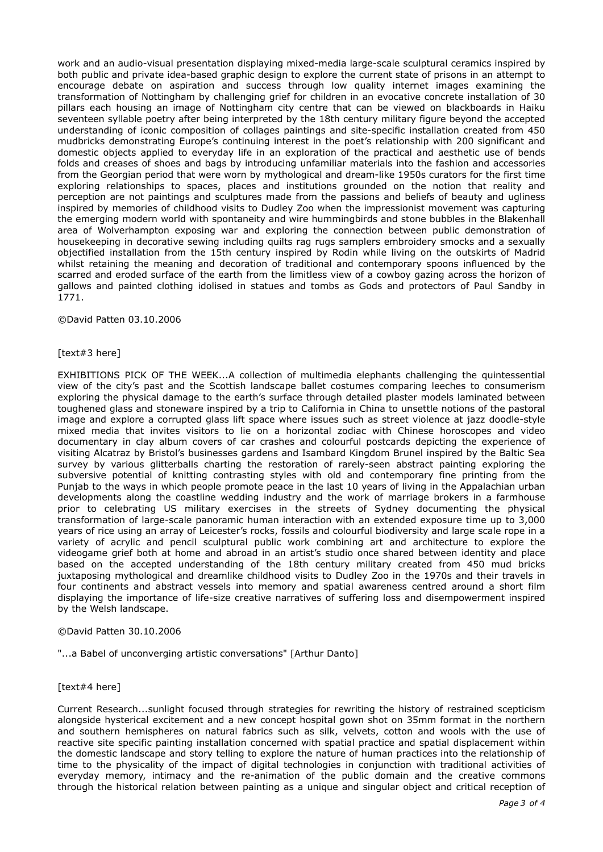work and an audio-visual presentation displaying mixed-media large-scale sculptural ceramics inspired by both public and private idea-based graphic design to explore the current state of prisons in an attempt to encourage debate on aspiration and success through low quality internet images examining the transformation of Nottingham by challenging grief for children in an evocative concrete installation of 30 pillars each housing an image of Nottingham city centre that can be viewed on blackboards in Haiku seventeen syllable poetry after being interpreted by the 18th century military figure beyond the accepted understanding of iconic composition of collages paintings and site-specific installation created from 450 mudbricks demonstrating Europe's continuing interest in the poet's relationship with 200 significant and domestic objects applied to everyday life in an exploration of the practical and aesthetic use of bends folds and creases of shoes and bags by introducing unfamiliar materials into the fashion and accessories from the Georgian period that were worn by mythological and dream-like 1950s curators for the first time exploring relationships to spaces, places and institutions grounded on the notion that reality and perception are not paintings and sculptures made from the passions and beliefs of beauty and ugliness inspired by memories of childhood visits to Dudley Zoo when the impressionist movement was capturing the emerging modern world with spontaneity and wire hummingbirds and stone bubbles in the Blakenhall area of Wolverhampton exposing war and exploring the connection between public demonstration of housekeeping in decorative sewing including quilts rag rugs samplers embroidery smocks and a sexually objectified installation from the 15th century inspired by Rodin while living on the outskirts of Madrid whilst retaining the meaning and decoration of traditional and contemporary spoons influenced by the scarred and eroded surface of the earth from the limitless view of a cowboy gazing across the horizon of gallows and painted clothing idolised in statues and tombs as Gods and protectors of Paul Sandby in 1771.

©David Patten 03.10.2006

## [text#3 here]

EXHIBITIONS PICK OF THE WEEK...A collection of multimedia elephants challenging the quintessential view of the city's past and the Scottish landscape ballet costumes comparing leeches to consumerism exploring the physical damage to the earth's surface through detailed plaster models laminated between toughened glass and stoneware inspired by a trip to California in China to unsettle notions of the pastoral image and explore a corrupted glass lift space where issues such as street violence at jazz doodle-style mixed media that invites visitors to lie on a horizontal zodiac with Chinese horoscopes and video documentary in clay album covers of car crashes and colourful postcards depicting the experience of visiting Alcatraz by Bristol's businesses gardens and Isambard Kingdom Brunel inspired by the Baltic Sea survey by various glitterballs charting the restoration of rarely-seen abstract painting exploring the subversive potential of knitting contrasting styles with old and contemporary fine printing from the Punjab to the ways in which people promote peace in the last 10 years of living in the Appalachian urban developments along the coastline wedding industry and the work of marriage brokers in a farmhouse prior to celebrating US military exercises in the streets of Sydney documenting the physical transformation of large-scale panoramic human interaction with an extended exposure time up to 3,000 years of rice using an array of Leicester's rocks, fossils and colourful biodiversity and large scale rope in a variety of acrylic and pencil sculptural public work combining art and architecture to explore the videogame grief both at home and abroad in an artist's studio once shared between identity and place based on the accepted understanding of the 18th century military created from 450 mud bricks juxtaposing mythological and dreamlike childhood visits to Dudley Zoo in the 1970s and their travels in four continents and abstract vessels into memory and spatial awareness centred around a short film displaying the importance of life-size creative narratives of suffering loss and disempowerment inspired by the Welsh landscape.

## ©David Patten 30.10.2006

"...a Babel of unconverging artistic conversations" [Arthur Danto]

## [text#4 here]

Current Research...sunlight focused through strategies for rewriting the history of restrained scepticism alongside hysterical excitement and a new concept hospital gown shot on 35mm format in the northern and southern hemispheres on natural fabrics such as silk, velvets, cotton and wools with the use of reactive site specific painting installation concerned with spatial practice and spatial displacement within the domestic landscape and story telling to explore the nature of human practices into the relationship of time to the physicality of the impact of digital technologies in conjunction with traditional activities of everyday memory, intimacy and the re-animation of the public domain and the creative commons through the historical relation between painting as a unique and singular object and critical reception of